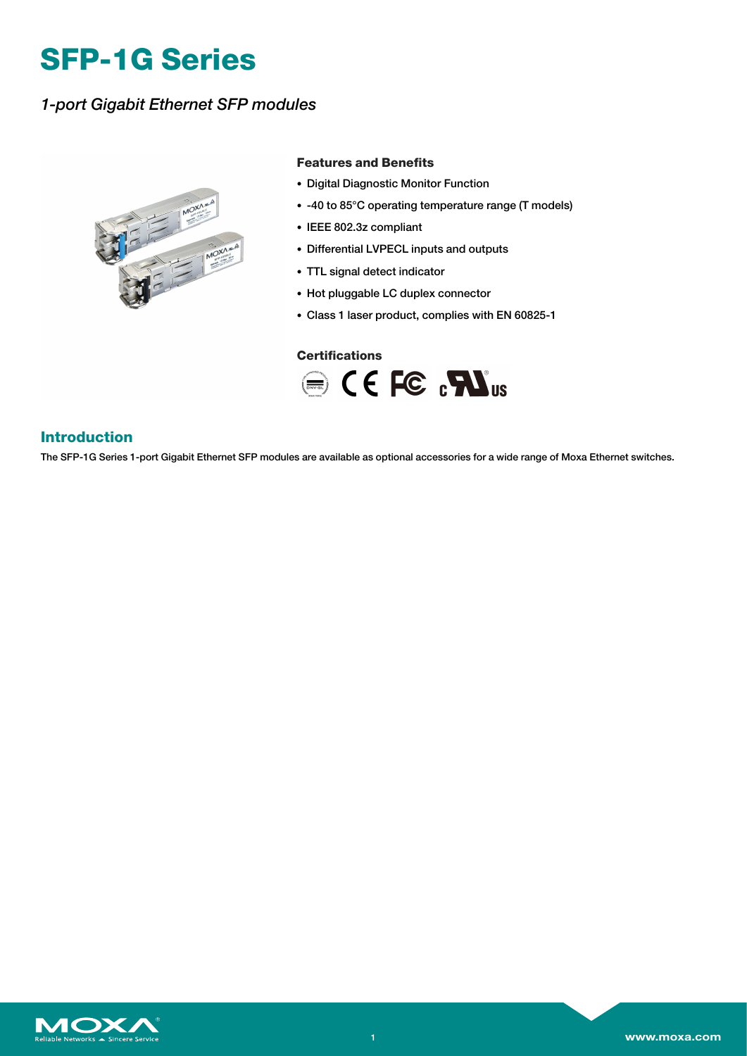# **SFP-1G Series**

### *1-port Gigabit Ethernet SFP modules*



#### **Features and Benefits**

- Digital Diagnostic Monitor Function
- -40 to 85°C operating temperature range (T models)
- IEEE 802.3z compliant
- Differential LVPECL inputs and outputs
- TTL signal detect indicator
- Hot pluggable LC duplex connector
- Class 1 laser product, complies with EN 60825-1

### **Certifications**



### **Introduction**

The SFP-1G Series 1-port Gigabit Ethernet SFP modules are available as optional accessories for a wide range of Moxa Ethernet switches.

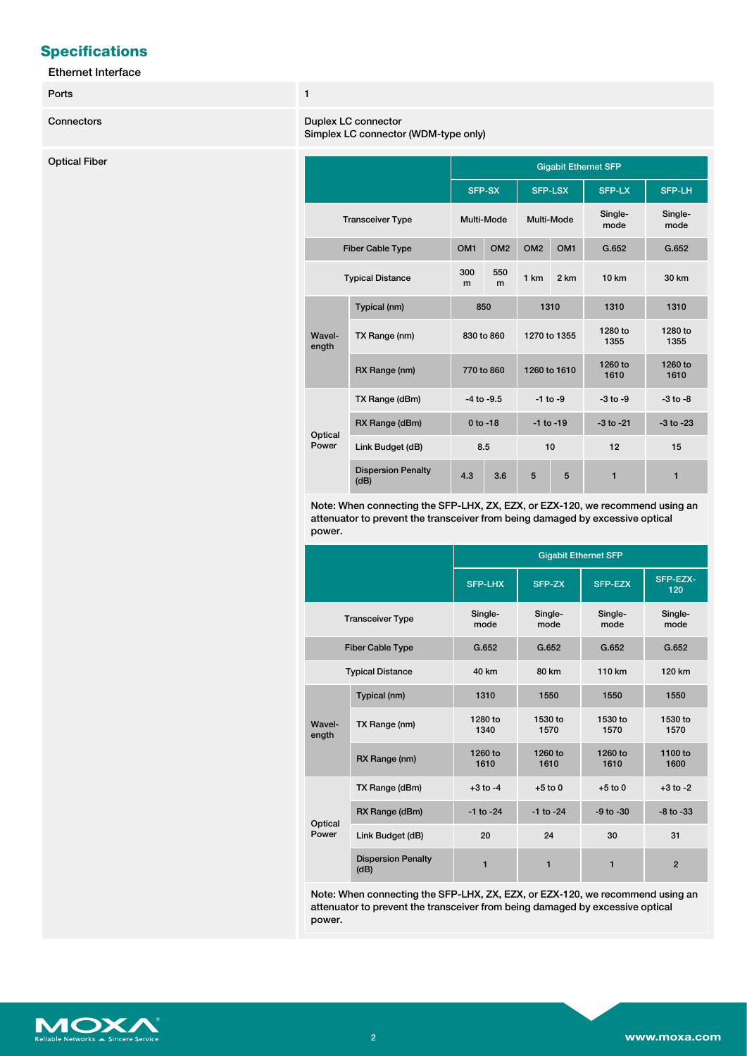### **Specifications**

#### Ethernet Interface

#### Ports **1**

#### **Connectors Duplex LC connectors**

Simplex LC connector (WDM-type only)

| <b>Optical Fiber</b> |                         |                                   | <b>Gigabit Ethernet SFP</b> |                 |                 |                 |                 |                 |
|----------------------|-------------------------|-----------------------------------|-----------------------------|-----------------|-----------------|-----------------|-----------------|-----------------|
|                      |                         |                                   |                             | SFP-SX          |                 | <b>SFP-LSX</b>  | SFP-LX          | SFP-LH          |
|                      | <b>Transceiver Type</b> |                                   |                             | Multi-Mode      | Multi-Mode      |                 | Single-<br>mode | Single-<br>mode |
|                      | Fiber Cable Type        |                                   | OM <sub>1</sub>             | OM <sub>2</sub> | OM <sub>2</sub> | OM <sub>1</sub> | G.652           | G.652           |
|                      | <b>Typical Distance</b> |                                   | 300<br>m                    | 550<br>m        | 1 km            | 2 km            | <b>10 km</b>    | 30 km           |
|                      |                         | Typical (nm)                      |                             | 850             | 1310            |                 | 1310            | 1310            |
|                      | Wavel-<br>ength         | TX Range (nm)                     | 830 to 860                  |                 | 1270 to 1355    |                 | 1280 to<br>1355 | 1280 to<br>1355 |
|                      |                         | RX Range (nm)                     | 770 to 860                  |                 | 1260 to 1610    |                 | 1260 to<br>1610 | 1260 to<br>1610 |
|                      |                         | TX Range (dBm)                    |                             | $-4$ to $-9.5$  | $-1$ to $-9$    |                 | $-3$ to $-9$    | $-3$ to $-8$    |
|                      | Optical<br>Power        | RX Range (dBm)                    |                             | $0$ to -18      | $-1$ to $-19$   |                 | $-3$ to $-21$   | $-3$ to $-23$   |
|                      |                         | Link Budget (dB)                  | 8.5                         |                 | 10              |                 | 12              | 15              |
|                      |                         | <b>Dispersion Penalty</b><br>(dB) | 4.3                         | 3.6             | $5\phantom{.0}$ | $5\phantom{.0}$ | $\mathbf{1}$    | $\mathbf{1}$    |

Note: When connecting the SFP-LHX, ZX, EZX, or EZX-120, we recommend using an attenuator to prevent the transceiver from being damaged by excessive optical power.

|                  |                                   | <b>Gigabit Ethernet SFP</b> |                 |                 |                 |
|------------------|-----------------------------------|-----------------------------|-----------------|-----------------|-----------------|
|                  |                                   | <b>SFP-LHX</b>              | SFP-ZX          | <b>SFP-EZX</b>  | SFP-EZX-<br>120 |
|                  | <b>Transceiver Type</b>           | Single-<br>mode             | Single-<br>mode | Single-<br>mode | Single-<br>mode |
|                  | <b>Fiber Cable Type</b>           | G.652                       | G.652           | G.652           | G.652           |
|                  | <b>Typical Distance</b>           | 40 km                       | <b>80 km</b>    | 110 km          | 120 km          |
|                  | Typical (nm)                      | 1310                        | 1550            | 1550            | 1550            |
| Wavel-<br>ength  | TX Range (nm)                     | 1280 to<br>1340             | 1530 to<br>1570 | 1530 to<br>1570 | 1530 to<br>1570 |
|                  | RX Range (nm)                     | 1260 to<br>1610             | 1260 to<br>1610 | 1260 to<br>1610 | 1100 to<br>1600 |
|                  | TX Range (dBm)                    | $+3$ to $-4$                | $+5$ to 0       | $+5$ to 0       | $+3$ to $-2$    |
| Optical<br>Power | RX Range (dBm)                    | $-1$ to $-24$               | $-1$ to $-24$   | $-9$ to $-30$   | $-8$ to $-33$   |
|                  | Link Budget (dB)                  | 20                          | 24              | 30              | 31              |
|                  | <b>Dispersion Penalty</b><br>(dB) | 1                           | 1               | 1               | $\overline{2}$  |

Note: When connecting the SFP-LHX, ZX, EZX, or EZX-120, we recommend using an attenuator to prevent the transceiver from being damaged by excessive optical power.

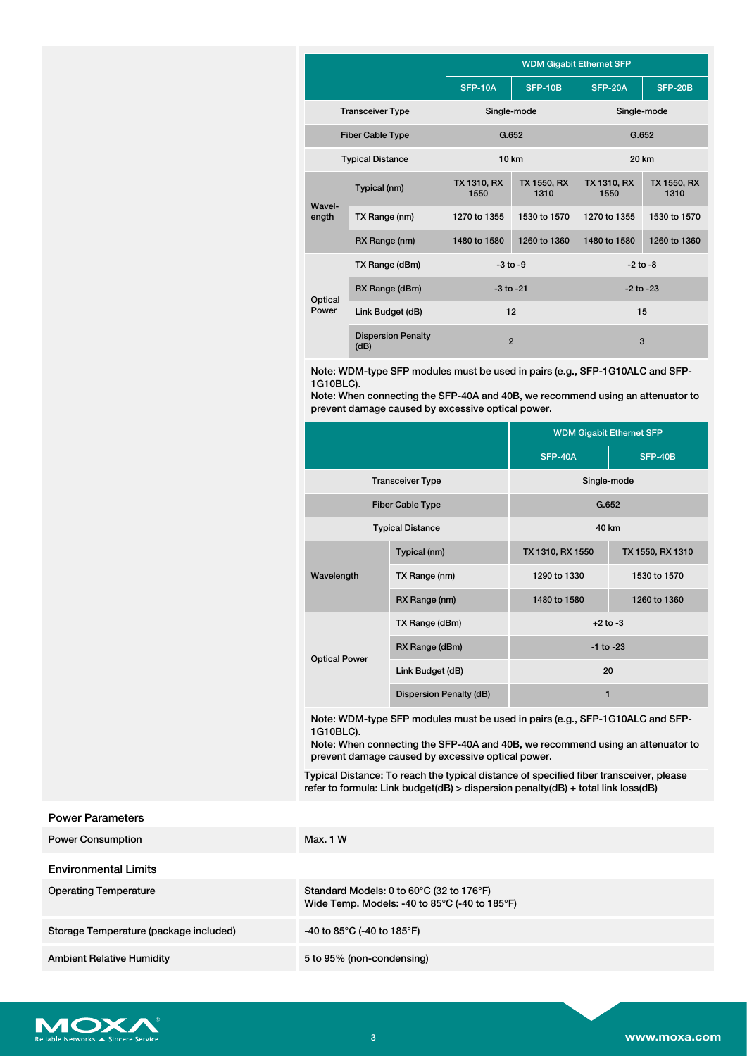|                         |                                   | <b>WDM Gigabit Ethernet SFP</b> |                     |                     |                     |  |
|-------------------------|-----------------------------------|---------------------------------|---------------------|---------------------|---------------------|--|
|                         |                                   | <b>SFP-10A</b>                  | <b>SFP-10B</b>      | <b>SFP-20A</b>      | SFP-20B             |  |
| <b>Transceiver Type</b> |                                   | Single-mode                     |                     | Single-mode         |                     |  |
| <b>Fiber Cable Type</b> |                                   | G.652                           |                     | G.652               |                     |  |
|                         | <b>Typical Distance</b>           | 10 km                           |                     | 20 km               |                     |  |
| Wavel-<br>ength         | Typical (nm)                      | TX 1310, RX<br>1550             | TX 1550, RX<br>1310 | TX 1310, RX<br>1550 | TX 1550, RX<br>1310 |  |
|                         | TX Range (nm)                     | 1270 to 1355                    | 1530 to 1570        | 1270 to 1355        | 1530 to 1570        |  |
|                         | RX Range (nm)                     | 1480 to 1580                    | 1260 to 1360        | 1480 to 1580        | 1260 to 1360        |  |
| TX Range (dBm)          |                                   | $-3$ to $-9$                    |                     | $-2$ to $-8$        |                     |  |
| Optical<br>Power        | RX Range (dBm)                    | $-3$ to $-21$                   |                     | $-2$ to $-23$       |                     |  |
|                         | Link Budget (dB)                  | 12                              |                     | 15                  |                     |  |
|                         | <b>Dispersion Penalty</b><br>(dB) | $\overline{2}$                  |                     | 3                   |                     |  |

Note: WDM-type SFP modules must be used in pairs (e.g., SFP-1G10ALC and SFP-1G10BLC).

Note: When connecting the SFP-40A and 40B, we recommend using an attenuator to prevent damage caused by excessive optical power.

|                         |                         | <b>WDM Gigabit Ethernet SFP</b> |                  |  |  |
|-------------------------|-------------------------|---------------------------------|------------------|--|--|
|                         |                         | <b>SFP-40A</b>                  | <b>SFP-40B</b>   |  |  |
| <b>Transceiver Type</b> |                         | Single-mode                     |                  |  |  |
| <b>Fiber Cable Type</b> |                         | G.652                           |                  |  |  |
| <b>Typical Distance</b> |                         | 40 km                           |                  |  |  |
| Wavelength              | Typical (nm)            | TX 1310, RX 1550                | TX 1550, RX 1310 |  |  |
|                         | TX Range (nm)           | 1290 to 1330                    | 1530 to 1570     |  |  |
|                         | RX Range (nm)           | 1480 to 1580                    | 1260 to 1360     |  |  |
|                         | TX Range (dBm)          | $+2$ to $-3$                    |                  |  |  |
| <b>Optical Power</b>    | RX Range (dBm)          | $-1$ to $-23$                   |                  |  |  |
|                         | Link Budget (dB)        | 20                              |                  |  |  |
|                         | Dispersion Penalty (dB) | 1                               |                  |  |  |
|                         |                         |                                 |                  |  |  |

Note: WDM-type SFP modules must be used in pairs (e.g., SFP-1G10ALC and SFP-1G10BLC).

Note: When connecting the SFP-40A and 40B, we recommend using an attenuator to prevent damage caused by excessive optical power.

Typical Distance: To reach the typical distance of specified fiber transceiver, please refer to formula: Link budget(dB) > dispersion penalty(dB) + total link loss(dB)

| <b>Power Parameters</b>                |                                                                                                                                     |
|----------------------------------------|-------------------------------------------------------------------------------------------------------------------------------------|
| <b>Power Consumption</b>               | Max. 1 W                                                                                                                            |
| <b>Environmental Limits</b>            |                                                                                                                                     |
| <b>Operating Temperature</b>           | Standard Models: 0 to $60^{\circ}$ C (32 to 176 $^{\circ}$ F)<br>Wide Temp. Models: -40 to $85^{\circ}$ C (-40 to 185 $^{\circ}$ F) |
| Storage Temperature (package included) | -40 to 85°C (-40 to 185°F)                                                                                                          |
|                                        |                                                                                                                                     |

Ambient Relative Humidity 6 and 5 to 95% (non-condensing)

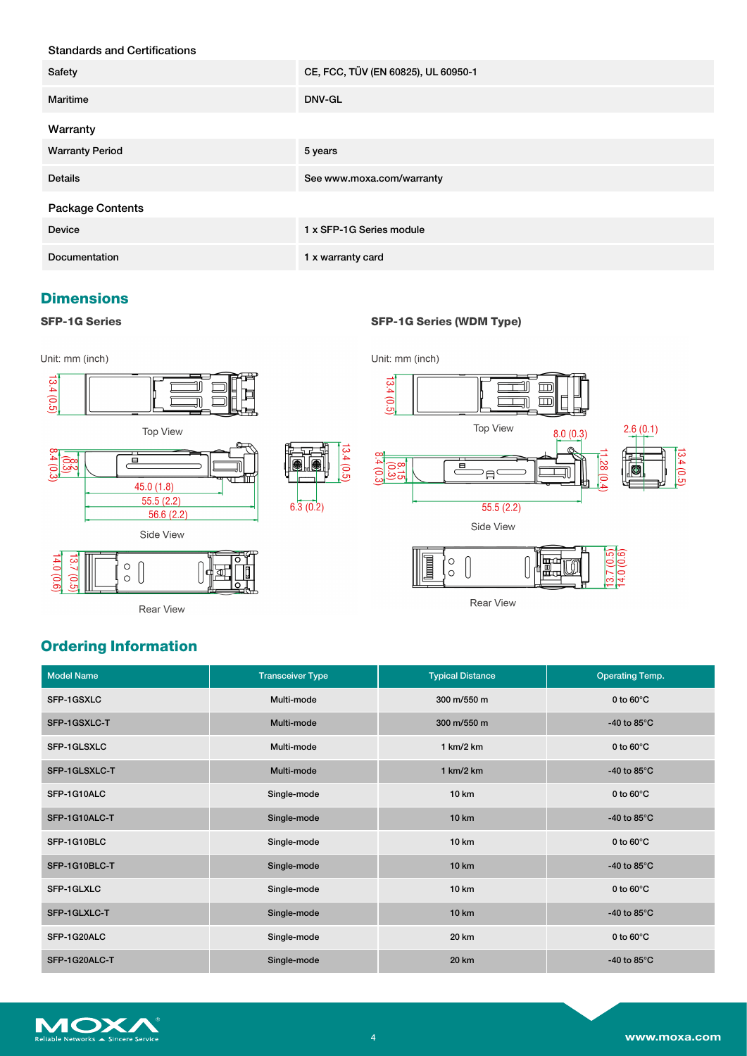### Standards and Certifications

| Safety                  | CE, FCC, TÜV (EN 60825), UL 60950-1 |
|-------------------------|-------------------------------------|
| Maritime                | <b>DNV-GL</b>                       |
| Warranty                |                                     |
| <b>Warranty Period</b>  | 5 years                             |
| <b>Details</b>          | See www.moxa.com/warranty           |
| <b>Package Contents</b> |                                     |
| <b>Device</b>           | 1 x SFP-1G Series module            |
| Documentation           | 1 x warranty card                   |

### **Dimensions**

#### **SFP-1G Series SFP-1G Series (WDM Type)**



Rear View

## **Ordering Information**

| <b>Model Name</b> | <b>Transceiver Type</b> | <b>Typical Distance</b> | <b>Operating Temp.</b> |
|-------------------|-------------------------|-------------------------|------------------------|
| SFP-1GSXLC        | Multi-mode              | 300 m/550 m             | 0 to $60^{\circ}$ C    |
| SFP-1GSXLC-T      | Multi-mode              | 300 m/550 m             | -40 to 85 $\degree$ C  |
| SFP-1GLSXLC       | Multi-mode              | 1 km/2 km               | 0 to $60^{\circ}$ C    |
| SFP-1GLSXLC-T     | Multi-mode              | 1 km/2 km               | -40 to $85^{\circ}$ C  |
| SFP-1G10ALC       | Single-mode             | <b>10 km</b>            | 0 to $60^{\circ}$ C    |
| SFP-1G10ALC-T     | Single-mode             | <b>10 km</b>            | -40 to $85^{\circ}$ C  |
| SFP-1G10BLC       | Single-mode             | <b>10 km</b>            | 0 to $60^{\circ}$ C    |
| SFP-1G10BLC-T     | Single-mode             | <b>10 km</b>            | -40 to 85 $\degree$ C  |
| SFP-1GLXLC        | Single-mode             | <b>10 km</b>            | 0 to $60^{\circ}$ C    |
| SFP-1GLXLC-T      | Single-mode             | <b>10 km</b>            | -40 to 85 $\degree$ C  |
| SFP-1G20ALC       | Single-mode             | 20 km                   | 0 to $60^{\circ}$ C    |
| SFP-1G20ALC-T     | Single-mode             | 20 km                   | -40 to 85 $\degree$ C  |